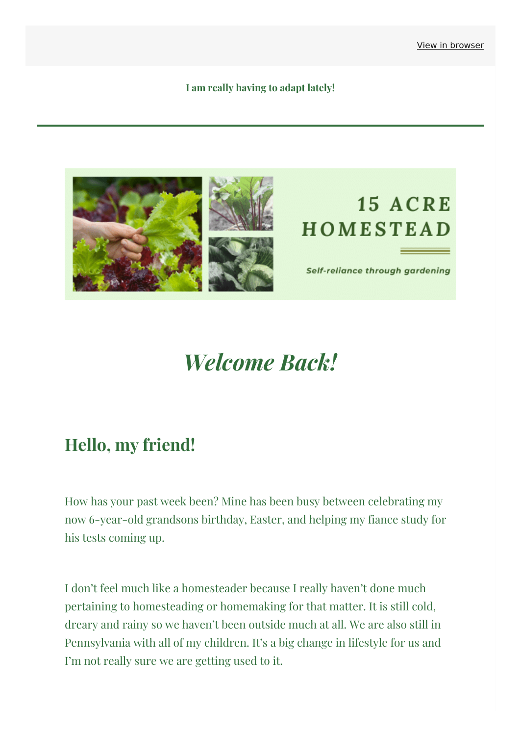**I am really having to adapt lately!**



# *Welcome Back!*

#### **Hello, my friend!**

How has your past week been? Mine has been busy between celebrating my now 6-year-old grandsons birthday, Easter, and helping my fiance study for his tests coming up.

I don't feel much like a homesteader because I really haven't done much pertaining to homesteading or homemaking for that matter. It is still cold, dreary and rainy so we haven't been outside much at all. We are also still in Pennsylvania with all of my children. It's a big change in lifestyle for us and I'm not really sure we are getting used to it.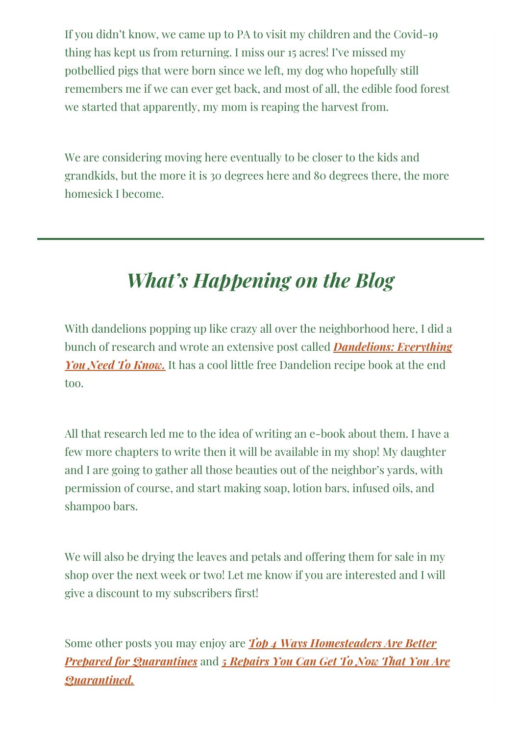If you didn't know, we came up to PA to visit my children and the Covid-19 thing has kept us from returning. I miss our 15 acres! I've missed my potbellied pigs that were born since we left, my dog who hopefully still remembers me if we can ever get back, and most of all, the edible food forest we started that apparently, my mom is reaping the harvest from.

We are considering moving here eventually to be closer to the kids and grandkids, but the more it is 30 degrees here and 80 degrees there, the more homesick I become.

### *What's Happening on the Blog*

With dandelions popping up like crazy all over the neighborhood here, I did a bunch of research and wrote an extensive post called *[Dandelions:](https://15acrehomestead.com/dandelions/?&utm_source=newsletter&utm_medium=email&utm_campaign=adapting_to_my_new_world&utm_term=2020-04-17) Everything You Need To Know.* It has a cool little free Dandelion recipe book at the end too.

All that research led me to the idea of writing an e-book about them. I have a few more chapters to write then it will be available in my shop! My daughter and I are going to gather all those beauties out of the neighbor's yards, with permission of course, and start making soap, lotion bars, infused oils, and shampoo bars.

We will also be drying the leaves and petals and offering them for sale in my shop over the next week or two! Let me know if you are interested and I will give a discount to my subscribers first!

Some other posts you may enjoy are *Top 4 Ways [Homesteaders](https://15acrehomestead.com/prepared-for-quarantine/?&utm_source=newsletter&utm_medium=email&utm_campaign=adapting_to_my_new_world&utm_term=2020-04-17) Are Better Prepared for Quarantines* and *5 Repairs You Can Get To Now That You Are [Quarantined.](https://15acrehomestead.com/5-repairs-you-can-get-to-now-that-youre-quarantined/?&utm_source=newsletter&utm_medium=email&utm_campaign=adapting_to_my_new_world&utm_term=2020-04-17)*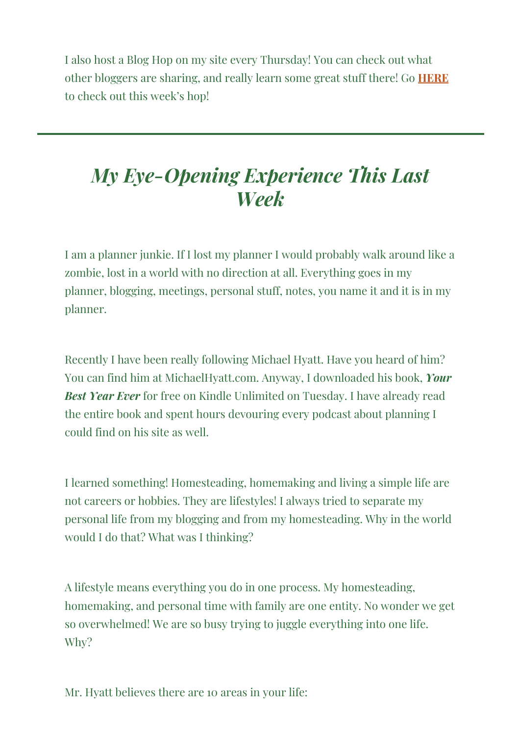I also host a Blog Hop on my site every Thursday! You can check out what other bloggers are sharing, and really learn some great stuff there! Go **[HERE](https://15acrehomestead.com/simple-homestead-blog-hop-256/?&utm_source=newsletter&utm_medium=email&utm_campaign=adapting_to_my_new_world&utm_term=2020-04-17)** to check out this week's hop!

#### *My Eye-Opening Experience This Last Week*

I am a planner junkie. If I lost my planner I would probably walk around like a zombie, lost in a world with no direction at all. Everything goes in my planner, blogging, meetings, personal stuff, notes, you name it and it is in my planner.

Recently I have been really following Michael Hyatt. Have you heard of him? You can find him at MichaelHyatt.com. Anyway, I downloaded his book, *Your Best Year Ever* for free on Kindle Unlimited on Tuesday. I have already read the entire book and spent hours devouring every podcast about planning I could find on his site as well.

I learned something! Homesteading, homemaking and living a simple life are not careers or hobbies. They are lifestyles! I always tried to separate my personal life from my blogging and from my homesteading. Why in the world would I do that? What was I thinking?

A lifestyle means everything you do in one process. My homesteading, homemaking, and personal time with family are one entity. No wonder we get so overwhelmed! We are so busy trying to juggle everything into one life. Why?

Mr. Hyatt believes there are 10 areas in your life: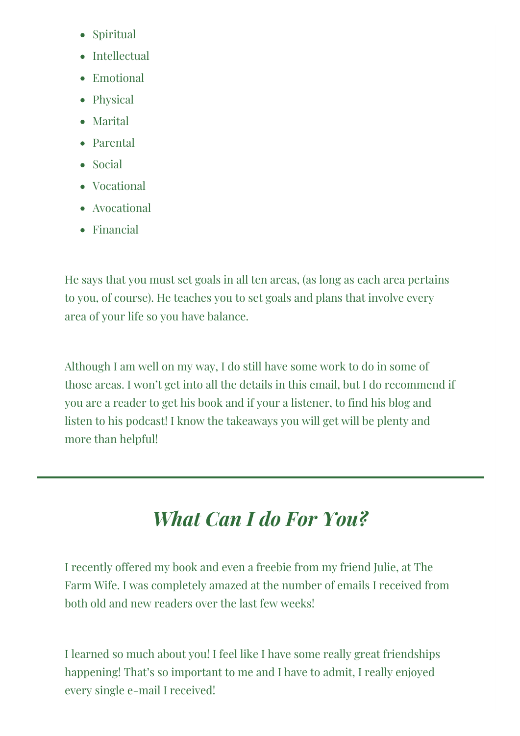- Spiritual
- $\bullet$  Intellectual
- Emotional
- Physical
- Marital
- Parental
- Social
- Vocational
- Avocational
- Financial

He says that you must set goals in all ten areas, (as long as each area pertains to you, of course). He teaches you to set goals and plans that involve every area of your life so you have balance.

Although I am well on my way, I do still have some work to do in some of those areas. I won't get into all the details in this email, but I do recommend if you are a reader to get his book and if your a listener, to find his blog and listen to his podcast! I know the takeaways you will get will be plenty and more than helpful!

## *What Can I do For You?*

I recently offered my book and even a freebie from my friend Julie, at The Farm Wife. I was completely amazed at the number of emails I received from both old and new readers over the last few weeks!

I learned so much about you! I feel like I have some really great friendships happening! That's so important to me and I have to admit, I really enjoyed every single e-mail I received!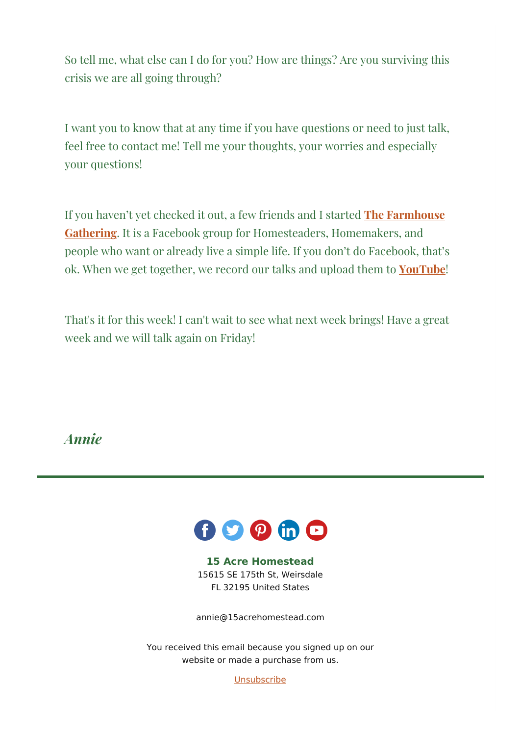So tell me, what else can I do for you? How are things? Are you surviving this crisis we are all going through?

I want you to know that at any time if you have questions or need to just talk, feel free to contact me! Tell me your thoughts, your worries and especially your questions!

If you haven't yet checked it out, a few friends and I started **The Farmhouse Gathering**. It is a Facebook group for [Homesteaders,](https://www.facebook.com/groups/farmhousegathering/?&utm_source=newsletter&utm_medium=email&utm_campaign=adapting_to_my_new_world&utm_term=2020-04-17) Homemakers, and people who want or already live a simple life. If you don't do Facebook, that's ok. When we get together, we record our talks and upload them to **[YouTube](https://www.youtube.com/channel/UChtexjK3V6i8GMgPGgslvdg)**!

That's it for this week! I can't wait to see what next week brings! Have a great week and we will talk again on Friday!

*Annie*



**15 Acre Homestead** 15615 SE 175th St, Weirsdale FL 32195 United States

[annie@15acrehomestead.com](mailto:annie@15acrehomestead.com)

You received this email because you signed up on our website or made a purchase from us.

**[Unsubscribe](http://pdf.mailerlite.com/removessl_hex/68747470733a2f2f707265766965772e6d61696c65726c6974652e636f6d2f65346e356133)**